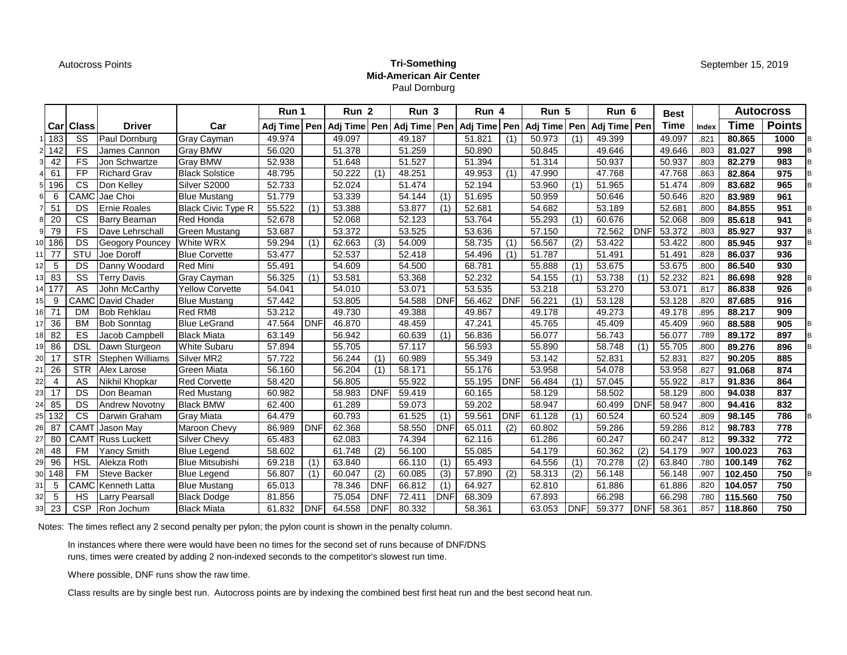## Autocross Points **Tri-Something Mid-American Air Center** Paul Dornburg

|     |                |             |                           |                           | Run 1  |            | Run <sub>2</sub>                |            | Run 3  |            |        | Run 5<br>Run 4 |        |            | Run 6                                                             |            | <b>Best</b> |       |             | <b>Autocross</b> |  |
|-----|----------------|-------------|---------------------------|---------------------------|--------|------------|---------------------------------|------------|--------|------------|--------|----------------|--------|------------|-------------------------------------------------------------------|------------|-------------|-------|-------------|------------------|--|
|     |                | Carl Class  | <b>Driver</b>             | Car                       |        |            | Adj Time   Pen   Adj Time   Pen |            |        |            |        |                |        |            | Adj Time   Pen   Adj Time   Pen   Adj Time   Pen   Adj Time   Pen |            | Time        | Index | <b>Time</b> | <b>Points</b>    |  |
|     | 1 183          | SS          | Paul Dornburg             | Gray Cayman               | 49.974 |            | 49.097                          |            | 49.187 |            | 51.821 | (1)            | 50.973 | (1)        | 49.399                                                            |            | 49.097      | .821  | 80.865      | 1000             |  |
|     | 2 142          | FS          | James Cannon              | <b>Gray BMW</b>           | 56.020 |            | 51.378                          |            | 51.259 |            | 50.890 |                | 50.845 |            | 49.646                                                            |            | 49.646      | .803  | 81.027      | 998              |  |
|     | 42             | <b>FS</b>   | Jon Schwartze             | <b>Gray BMW</b>           | 52.938 |            | 51.648                          |            | 51.527 |            | 51.394 |                | 51.314 |            | 50.937                                                            |            | 50.937      | .803  | 82.279      | 983              |  |
|     | 61             | <b>FP</b>   | <b>Richard Grav</b>       | <b>Black Solstice</b>     | 48.795 |            | 50.222                          | (1)        | 48.251 |            | 49.953 | (1)            | 47.990 |            | 47.768                                                            |            | 47.768      | .863  | 82.864      | 975              |  |
|     | 196            | <b>CS</b>   | Don Kelley                | Silver S2000              | 52.733 |            | 52.024                          |            | 51.474 |            | 52.194 |                | 53.960 | (1)        | 51.965                                                            |            | 51.474      | .809  | 83.682      | 965              |  |
| 61  | 6              | CAMO        | Jae Choi                  | <b>Blue Mustang</b>       | 51.779 |            | 53.339                          |            | 54.144 | (1)        | 51.695 |                | 50.959 |            | 50.646                                                            |            | 50.646      | .820  | 83.989      | 961              |  |
|     | 51             | DS          | <b>Ernie Roales</b>       | <b>Black Civic Type R</b> | 55.522 | (1)        | 53.388                          |            | 53.877 | (1)        | 52.681 |                | 54.682 |            | 53.189                                                            |            | 52.681      | .800  | 84.855      | 951              |  |
| 81  | 20             | <b>CS</b>   | Barry Beaman              | <b>Red Honda</b>          | 52.678 |            | 52.068                          |            | 52.123 |            | 53.764 |                | 55.293 | (1)        | 60.676                                                            |            | 52.068      | .809  | 85.618      | 941              |  |
| 91  | 79             | <b>FS</b>   | Dave Lehrschall           | <b>Green Mustang</b>      | 53.687 |            | 53.372                          |            | 53.525 |            | 53.636 |                | 57.150 |            | 72.562                                                            | <b>DNF</b> | 53.372      | .803  | 85.927      | 937              |  |
|     | 10 186         | DS          | <b>Geogory Pouncey</b>    | <b>White WRX</b>          | 59.294 | (1)        | 62.663                          | (3)        | 54.009 |            | 58.735 | (1)            | 56.567 | (2)        | 53.422                                                            |            | 53.422      | .800  | 85.945      | 937              |  |
|     | 77             | STU         | Joe Doroff                | <b>Blue Corvette</b>      | 53.477 |            | 52.537                          |            | 52.418 |            | 54.496 | (1)            | 51.787 |            | 51.491                                                            |            | 51.491      | .828  | 86.037      | 936              |  |
| 12  | -5             | DS          | Danny Woodard             | <b>Red Mini</b>           | 55.491 |            | 54.609                          |            | 54.500 |            | 68.781 |                | 55.888 | (1)        | 53.675                                                            |            | 53.675      | .800  | 86.540      | 930              |  |
| 13. | 83             | SS          | <b>Terry Davis</b>        | <b>Gray Cayman</b>        | 56.325 | (1)        | 53.581                          |            | 53.368 |            | 52.232 |                | 54.155 | (1)        | 53.738                                                            | (1)        | 52.232      | .821  | 86.698      | 928              |  |
|     | 14 177         | AS          | John McCarthy             | <b>Yellow Corvette</b>    | 54.041 |            | 54.010                          |            | 53.071 |            | 53.535 |                | 53.218 |            | 53.270                                                            |            | 53.071      | .817  | 86.838      | 926              |  |
| 151 | -9             |             | CAMC David Chader         | <b>Blue Mustang</b>       | 57.442 |            | 53.805                          |            | 54.588 | <b>DNF</b> | 56.462 | <b>DNF</b>     | 56.221 | (1)        | 53.128                                                            |            | 53.128      | .820  | 87.685      | 916              |  |
|     | 16 71          | <b>DM</b>   | <b>Bob Rehklau</b>        | <b>Red RM8</b>            | 53.212 |            | 49.730                          |            | 49.388 |            | 49.867 |                | 49.178 |            | 49.273                                                            |            | 49.178      | .895  | 88.217      | 909              |  |
| 17  | 36             | <b>BM</b>   | <b>Bob Sonntag</b>        | <b>Blue LeGrand</b>       | 47.564 | <b>DNF</b> | 46.870                          |            | 48.459 |            | 47.241 |                | 45.765 |            | 45.409                                                            |            | 45.409      | .960  | 88.588      | 905              |  |
| 18  | 82             | ES          | Jacob Campbell            | <b>Black Miata</b>        | 63.149 |            | 56.942                          |            | 60.639 | (1)        | 56.836 |                | 56.077 |            | 56.743                                                            |            | 56.077      | .789  | 89.172      | 897              |  |
| 19. | 86             | <b>DSL</b>  | Dawn Sturgeon             | <b>White Subaru</b>       | 57.894 |            | 55.705                          |            | 57.117 |            | 56.593 |                | 55.890 |            | 58.748                                                            | (1)        | 55.705      | .800  | 89.276      | 896              |  |
|     | 17             | <b>STR</b>  | <b>Stephen Williams</b>   | Silver MR2                | 57.722 |            | 56.244                          | (1)        | 60.989 |            | 55.349 |                | 53.142 |            | 52.831                                                            |            | 52.831      | .827  | 90.205      | 885              |  |
| 2   | 26             | <b>STR</b>  | Alex Larose               | Green Miata               | 56.160 |            | 56.204                          | (1)        | 58.171 |            | 55.176 |                | 53.958 |            | 54.078                                                            |            | 53.958      | .827  | 91.068      | 874              |  |
| 22  | $\overline{4}$ | AS          | Nikhil Khopkar            | <b>Red Corvette</b>       | 58.420 |            | 56.805                          |            | 55.922 |            | 55.195 | <b>DNF</b>     | 56.484 | (1)        | 57.045                                                            |            | 55.922      | .817  | 91.836      | 864              |  |
| 23  | 17             | DS          | Don Beaman                | Red Mustang               | 60.982 |            | 58.983                          | <b>DNF</b> | 59.419 |            | 60.165 |                | 58.129 |            | 58.502                                                            |            | 58.129      | .800  | 94.038      | 837              |  |
| 241 | 85             | DS          | <b>Andrew Novotny</b>     | <b>Black BMW</b>          | 62.400 |            | 61.289                          |            | 59.073 |            | 59.202 |                | 58.947 |            | 60.499                                                            | <b>DNF</b> | 58.947      | .800  | 94.416      | 832              |  |
| 25  | 132            | CS          | Darwin Graham             | <b>Gray Miata</b>         | 64.479 |            | 60.793                          |            | 61.525 | (1)        | 59.561 | <b>DNF</b>     | 61.128 | (1)        | 60.524                                                            |            | 60.524      | .809  | 98.145      | 786              |  |
| 261 | 87             | <b>CAMT</b> | Jason May                 | Maroon Chevy              | 86.989 | <b>DNF</b> | 62.368                          |            | 58.550 | <b>DNF</b> | 65.011 | (2)            | 60.802 |            | 59.286                                                            |            | 59.286      | .812  | 98.783      | 778              |  |
|     | 80             |             | CAMT Russ Luckett         | Silver Chevy              | 65.483 |            | 62.083                          |            | 74.394 |            | 62.116 |                | 61.286 |            | 60.247                                                            |            | 60.247      | .812  | 99.332      | 772              |  |
| 28  | 48             | <b>FM</b>   | Yancy Smith               | <b>Blue Legend</b>        | 58.602 |            | 61.748                          | (2)        | 56.100 |            | 55.085 |                | 54.179 |            | 60.362                                                            | (2)        | 54.179      | .907  | 100.023     | 763              |  |
| 29  | 96             | <b>HSL</b>  | Alekza Roth               | <b>Blue Mitsubishi</b>    | 69.218 | (1)        | 63.840                          |            | 66.110 | (1)        | 65.493 |                | 64.556 | (1)        | 70.278                                                            | (2)        | 63.840      | .780  | 100.149     | 762              |  |
| 301 | 148            | <b>FM</b>   | Steve Backer              | <b>Blue Legend</b>        | 56.807 | (1)        | 60.047                          | (2)        | 60.085 | (3)        | 57.890 | (2)            | 58.313 | (2)        | 56.148                                                            |            | 56.148      | .907  | 102.450     | 750              |  |
| 31  | -5             |             | <b>CAMC</b> Kenneth Latta | <b>Blue Mustang</b>       | 65.013 |            | 78.346                          | <b>DNF</b> | 66.812 | (1)        | 64.927 |                | 62.810 |            | 61.886                                                            |            | 61.886      | .820  | 104.057     | 750              |  |
| 32  | 5              | <b>HS</b>   | <b>Larry Pearsall</b>     | <b>Black Dodge</b>        | 81.856 |            | 75.054                          | <b>DNF</b> | 72.411 | <b>DNF</b> | 68.309 |                | 67.893 |            | 66.298                                                            |            | 66.298      | .780  | 115.560     | 750              |  |
| 331 | 23             | <b>CSP</b>  | Ron Jochum                | <b>Black Miata</b>        | 61.832 | <b>DNF</b> | 64.558                          | <b>DNF</b> | 80.332 |            | 58.361 |                | 63.053 | <b>DNF</b> | 59.377                                                            | <b>DNF</b> | 58.361      | .857  | 118.860     | 750              |  |

Notes: The times reflect any 2 second penalty per pylon; the pylon count is shown in the penalty column.

In instances where there were would have been no times for the second set of runs because of DNF/DNS runs, times were created by adding 2 non-indexed seconds to the competitor's slowest run time.

Where possible, DNF runs show the raw time.

Class results are by single best run. Autocross points are by indexing the combined best first heat run and the best second heat run.